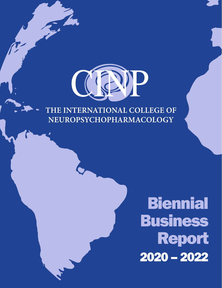

# THE INTERNATIONAL COLLEGE OF NEUROPSYCHOPHARMACOLOGY

# **Biennial** Business Report 2020 – 2022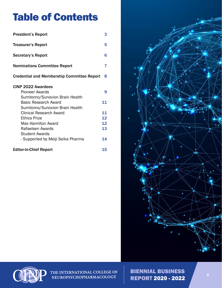# Table of Contents

| <b>President's Report</b>                         | 3  |
|---------------------------------------------------|----|
| <b>Treasurer's Report</b>                         | 5  |
| <b>Secretary's Report</b>                         | 6  |
| <b>Nominations Committee Report</b>               | 7  |
| <b>Credential and Membership Committee Report</b> | 8  |
| CINP 2022 Awardees                                |    |
| Pioneer Awards                                    | 9  |
| Sumitomo/Sunovion Brain Health                    |    |
| <b>Basic Research Award</b>                       | 11 |
| Sumitomo/Sunovion Brain Health                    |    |
| Clinical Research Award                           | 11 |
| <b>Ethics Prize</b>                               | 12 |
| Max Hamilton Award                                | 12 |
| Rafaelsen Awards                                  | 13 |
| <b>Student Awards</b>                             |    |
| - Supported by Meiji Seika Pharma                 | 14 |
| <b>Editor-in-Chief Report</b>                     | 15 |





THE INTERNATIONAL COLLEGE OF<br>NEUROPSYCHOPHARMACOLOGY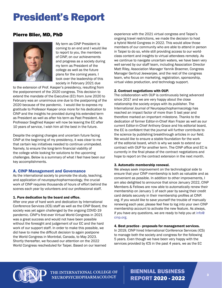# <span id="page-2-0"></span>President's Report

## Pierre Blier, MD, PhD



My term as CINP President is coming to an end and I would like to report to you, the members of CINP, on our achievements and progress as a society during my term as President of the college as well as the future plans for the coming years. I took over the leadership of this society in February 2021 due

to the extension of Prof. Kasper's presidency, resulting from the postponement of the 2020 congress. This decision to extend the mandate of the Executive (EC) from June 2020 to February was an unanimous one due to the postponing of the 2020 because of the pandemic. I would like to express my gratitude to Professor Kasper once more for his dedication to CINP and the insights he provided during his extended term as President as well as after his term as Past President. As Profressor Siegfried Kasper will now be leaving the EC after 10 years of service, I wish him all the best in the future.

Despite the ongoing changes and uncertain future facing CINP at the beginning of my presidency, it was clear to me that certain key initiatives needed to continue unimpeded. Namely, to ensure the long-term financial viability of the college while looking for solutions to the upcoming challenges. Below is a summary of what I feel have been our key accomplishments.

## A. CINP Management and Governance

As the international society to promote the study, teaching, and application of neuropsychopharmacology, the crucial work of CINP requires thousands of hours of effort behind the scenes each year by volunteers and our professional staff.

#### 1. Pure dedication by the board and office.

After one year of hard work and dedication by International Conference Services (ICS) staff as well as the CINP Board, the society was yet again challenged by the ongoing COVID-19 pandemic. CINP's first-ever Virtual World Congress in 2021 was a great success and would not have been possible without the foresight and judgement of our EC and the hard work of our support staff. In order to make this possible, we did have to make the difficult decision to again postpone the World Congress in Montréal, Canada, to May 2023. Shortly thereafter, we focused our attention on the 2022 World Congress rescheduled for Taipei. Based on our learned

experience with the 2021 virtual congress and Taipei's ongoing travel restrictions, we made the decision to host a hybrid World Congress in 2022. This would allow those members of our community who are able to attend in person in Taipei to do so, while still providing access to our worldclass content and insights to virtual attendees remotely. As we continue to navigate uncertain waters, we have been very well served by our staff team, including Association Director Matt Riley, Association Manager Yannik Braemer, Congress Manager Gertrud Jeewanjee, and the rest of the congress team, who focus on marketing, registration, sponsorship, virtual video production, and technology support.

#### 2. Contract negotiations with OUP.

The collaboration with OUP is continuously being advanced since 2017 and we are very happy about the close relationship the society enjoys with its publisher. The International Journal of Neuropsychopharmacology has reached an impact factor of more than 5 last year and therefore marked an important milestone. Thanks to the dedication of former Editor-in-Chief Alan Frazer as well as our current Editor-in-Chief Anthony Grace and his editorial board, the EC is confident that the journal will further contribute to the science by publishing breakthrough articles in our field. We would like to ensure a stable foundation for the work of the editorial board, which is why we seek to extend our contract with OUP for another term. The CINP office and EC is currently in the final phase of the contract negotiations and hope to report on the contract extension in the next month.

#### 3. Automatic membership renewal.

We always seek improvement on the technological side to ensure that your CINP membership is both as valuable and as convenient as possible. In addition to other improvements, I am also delighted to announce that since January 2022, CINP Members & Fellows are now able to automatically renew their membership on January 1 of each year by saving their credit card details securely in their membership profiles at CINP. org. If you would like to save yourself the trouble of manually renewing each year, please feel free to log into your own CINP membership account to activate the new feature. As always, if you have any questions, we are ready to help you at info@ cinp.org.

#### 4. Best practice - proposals for management services.

In 2019, CINP hired International Conference Services (ICS) to manage both the society and congress for the following 5 years. Even though we have been very happy with the services provided by ICS in the past 4 years, we as the EC



THE INTERNATIONAL COLLEGE OF NEUROPSYCHOPHARMACOLOGY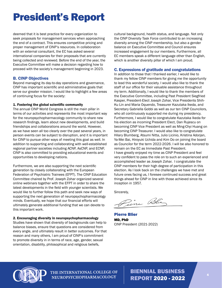# President's Report

deemed that it is best practice for every organization to seek proposals for management services when approaching the end of a contract. This ensures competitive pricing and proper management of CINP's resources. In collaboration with an external consultant, the EC has asked several international companies for their proposals that are currently being collected and reviewed. Before the end of the year, the Executive Committee will make a decision regarding how to proceed with the society's management beginning in 2023.

#### B. CINP Objectives

Beyond managing its day-to-day operations and governance, CINP has important scientific and administrative goals that serve our greater mission. I would like to highlight a few areas of continuing focus for the society:

#### 1. Fostering the global scientific community

The annual CINP World Congress is still the main pillar in terms of our activities and represents the most important way for the neuropsychopharmacology community to share new research findings, learn about new developments, and build friendships and collaborations around the world. However, as we have seen all too clearly over the past several years, in person events can be subject to disruption, and it is important for CINP to pursue other ways of meeting this goal as well. In addition to supporting and collaborating with well-established regional partner societies including ACNP, AsCNP, and ECNP, CINP is also committed to providing educational events and opportunities to developing nations.

Furthermore, we are also supporting the next scientific generation by closely collaborating with the European Federation of Psychiatric Trainees (EFPT). The CINP Education Committee chaired by Prof. Joseph Zohar organized several online webinars together with the EFPT in order to share the latest developments in the field with younger scientists. We would like to further follow this path and seek new ways of supporting the next generation of neuropsychopharmacology minds. Eventually, we hope that our financial efforts will ultimately generate additional funding that we can devote to this important work.

2. Encouraging diversity in neuropsychopharmacology Studies have shown that diversity of backgrounds can help to balance biases, ensure that questions are considered from every angle, and ultimately result in better outcomes. For that reason and many others, I am proud of CINP's commitment to promote diversity in in terms of race, age, gender, sexual orientation, disability, philosophical and religious beliefs,

cultural background, health status, and language. Not only the CINP Diversity Task Force contributed to an increasing diversity among the CINP membership, but also a gender balance on Executive Committee and Council ensures increased engagement by our members. Furthermore, all EC members speak a different language other than English, which is another diversity pillar of which I am proud.

#### C. Expressions of gratitude and congratulations

In addition to those that I thanked earlier, I would like to thank my fellow CINP members for giving me the opportunity to lead this wonderful society. I would also like to thank the staff of our office for their valuable assistance throughout my term. Additionally, I would like to thank the members of the Executive Committee, including Past President Siegfried Kasper, President-Elect Joseph Zohar, Vice Presidents Shih-Ku Lin and Maria Oquendo, Treasurer Kazutaka Ikeda, and Secretary Gabriella Gobbi as well as our ten CINP Councilors, who all continuously supported me during my presidency. Furthermore, I would like to congratulate Kazutaka Ikeda for his election as incoming President Elect, Dan Rujescu on becoming CINP Vice President as well as Ming-Chyi Huang on becoming CINP Treasurer. I would also like to congratulate Hilary Blumberg, Atsumi Nitta, Julio Licinio, Kristina Adorjan, Ya-Mei Bai, Hiroyuki Uchida and Kim Do on joining the board as Councilor for the term 2022-2026. I will be also honored to remain on the EC as Immediate Past President. I have greatly enjoyed my time as CINP President and feel very confident to pass the role on to such an experienced and accomplished leader as Joseph Zohar. I congratulate the CINP members for their high degree of participation in this election. As I look back on the challenges we have met and future ones facing us, I foresee continued success and great things ahead for CINP in line with those achieved since its inception in 1957.

Sincerely,

Zine Blie

Pierre Blier MD, PhD CINP President (2021-2022)



THE INTERNATIONAL COLLEGE OF NEUROPSYCHOPHARMACOLOGY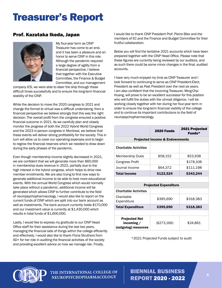# <span id="page-4-0"></span>Treasurer's Report

## Prof. Kazutaka Ikeda, Japan



My four-year term as CINP Treasurer has come to an end, and it has been a pleasure and an honor to serve CINP in this role. Although the pandemic required a large degree of agility from a financial perspective, I believe that together with the Executive Committee, the Finance & Budget Committee, and our management

company ICS, we were able to steer the ship through these difficult times successfully and to ensure the long-term financial stability of the CINP.

While the decision to move the 2020 congress to 2021 and change the format to virtual was a difficult undertaking, from a financial perspective we believe strongly that this was the right decision. The overall profit from the congress ensured a positive financial outcome in 2021. As we carefully plan and closely monitor the progress of both the 2022 Hybrid World Congress and the 2023 in-person congress in Montreal, we believe that these events will deliver strong profitability for the society. This in turn will allow us to cover our operating expenses and to begin to regrow the financial reserves which we needed to draw down during the early phases of the pandemic.

Even though membership income slightly decreased in 2021, we are confident that we will generate more than \$60,000 in membership dues revenue in 2022, partially due to the high interest in the hybrid congress, which helps to drive new member enrollments. We are also trying to find new ways to generate additional income to be able to host more educational events. With the annual World Congress which would normally take place without a pandemic, additional income will be generated which allows CINP to further contribute to the field of neuropsychopharmacology. I would also like to report on the current funds of CINP which are split into our bank account as well as investments. The bank account currently holds \$170,000 and our investment value is currently at \$1,430,000 which results in total funds of \$1,600,000.

Lastly, I would like to express my gratitude to our CINP Head Office staff for their assistance during the last two years, managing the financial side of things within the college efficiently and effectively. I would also like to thank Fiona Struthers from AD+ for her role in auditing the financial activities of the society and providing excellent advice on how we manage risk. Finally,

I would like to thank CINP President Prof. Pierre Blier and the members of EC and the Finance and Budget Committee for their fruitful collaboration.

Below you will find the tentative 2021 accounts which have been prepared together with the CINP Head Office. Please note that these figures are currently being reviewed by our auditors, and as such there could be some minor changes in the final, audited accounts.

I have very much enjoyed my time as CINP Treasurer and I look forward to continuing to serve as CINP President-Elect, President as well as Past President over the next six years. I am also confident that the incoming Treasurer, Ming-Chyi Huang, will prove to be an excellent successor for this position who will fulfill the duties with the utmost diligence. I will be working closely together with her during her four-year term in order to ensure the long-term financial viability of the college and to continue its important contributions to the field of neuropsychopharmacology.

|                                           | <b>2020 Funds</b> | <b>2021 Projected</b><br>Funds $*$ |  |  |
|-------------------------------------------|-------------------|------------------------------------|--|--|
| <b>Projected Income &amp; Endownments</b> |                   |                                    |  |  |
| <b>Charitable Activities</b>              |                   |                                    |  |  |
| Membership Dues                           | \$58,152          | \$53,938                           |  |  |
| <b>Congress Profit</b>                    |                   | \$178,108                          |  |  |
| Journal Income                            | \$64.372          | \$111,198                          |  |  |
| <b>Total Income</b>                       | \$122,524         | \$343,244                          |  |  |
|                                           |                   |                                    |  |  |

| <b>Projected Expenditure</b>                                 |             |           |  |  |  |
|--------------------------------------------------------------|-------------|-----------|--|--|--|
| <b>Charitable Activities</b>                                 |             |           |  |  |  |
| Charitable<br>Expenditure                                    | \$395,690   | \$318,383 |  |  |  |
| <b>Total Expenditure</b>                                     | \$395,690   | \$318,383 |  |  |  |
|                                                              |             |           |  |  |  |
| <b>Projected Net</b><br>incoming $/$<br>(outgoing) resources | (\$273,166) | \$24.861  |  |  |  |

\*2021 Projected Funds subject to audit



THE INTERNATIONAL COLLEGE OF NEUROPSYCHOPHARMACOLOGY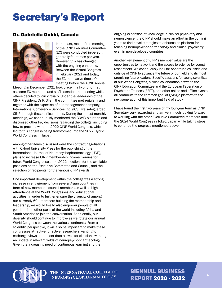# <span id="page-5-0"></span>Secretary's Report

## Dr. Gabriella Gobbi, Canada



In the past, most of the meetings of the CINP Executive Committee (EC) were conducted in-person, generally four times per year. However, this has changed with the ongoing pandemic. Between the Virtual Congress in February 2021 and today, the EC met twelve times. One meeting before the ACNP Annual

Meeting in December 2021 took place in a hybrid format as some EC members and staff attended the meeting while others decided to join virtually. Under the leadership of the CINP President, Dr P. Blier, the committee met regularly and together with the expertise of our management company, International Conference Services Ltd. (ICS), we safeguarded CINP through these difficult times. During the almost monthly meetings, we continuously monitored the COVID situation and discussed other key decisions regarding the college, including how to proceed with the 2022 CINP World Congress, which led to this congress being transformed into the 2022 Hybrid World Congress in Taipei.

Among other items discussed were the contract negotiations with Oxford University Press for the publishing of the International Journal of Neuropsychopharmacology (IJNP), plans to increase CINP membership income, venues for future World Congresses, the 2022 elections for the available positions on the Executive Committee and Council, and the selection of recipients for the various CINP awards.

One important development within the college was a strong increase in engagement from several Asian countries in form of new members, council members as well as high attendance at the World Congresses and educational activities. In order to further ensure the diversity of among our currently 604 members building the membership and leadership, we would like to also empower people of all genders from other parts of the world including Africa and South America to join the conversation. Additionally, our diversity should continue to improve as we rotate our annual World Congress between the various continents. From a scientific perspective, it will also be important to make these congresses attractive for active researchers wanting to exchange views and recent data as well for clinicians wanting an update in relevant fields of neuropsychopharmacology. Given the increasing need of continuous learning and the

ongoing expansion of knowledge in clinical psychiatry and neuroscience, the CINP should make an effort in the coming years to find novel strategies to enhance its platform for teaching neuropsychopharmacology and clinical psychiatry even in non-developed countries.

Another key element of CINP's member value are the opportunities to network and the access to science for young researchers. We continuously look for opportunities inside and outside of CINP to advance the future of our field and its most promising future leaders. Specific sessions for young scientists at our World Congress, a close collaboration between the CINP Education Committee and the European Federation of Psychiatric Trainees (EFPT), and other online and offline events all contribute to the common goal of giving a platform to the next generation of this important field of study.

I have found the first two years of my four-year term as CINP Secretary very rewarding and am very much looking forward to working with the other Executive Committee members until the 2024 World Congress in Tokyo, Japan while taking steps to continue the progress mentioned above.



THE INTERNATIONAL COLLEGE OF NEUROPSYCHOPHARMACOLOGY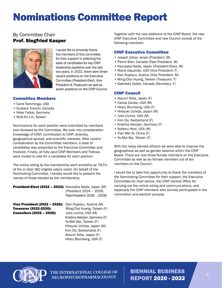# <span id="page-6-0"></span>Nominations Committee Report

## By Committee Chair Prof. Siegfried Kasper



I would like to sincerely thank the members of this committee for their support in selecting the slate of candidates for key CINP leadership positions over the last two years. In 2022, there were three vacant positions on the Executive Committee (President-Elect, Vice President & Treasurer) as well as seven positions on the CINP Council.

## Committee Members

- Carol Tamminga, USA
- Gustavo Turecki, Canada
- Peter Falkai, Germany
- Shih-Ku Lin, Taiwan

Nominations for each position were submitted by members and reviewed by the Committee. We took into consideration knowledge of CINP, contribution to CINP, diversity, geographical spread, and scientific interests. After careful consideration by the Committee members, a slate of candidates was presented to the Executive Committee and finalized. Finally, all fully paid CINP Members and Fellows were invited to vote for a candidate for each position.

The online voting by the membership went smoothly as 78.5% of the in total 382 eligible voters voted. On behalf of the Nominating Committee, I hereby would like to present the names of those elected by the membership:

| President-Elect (2022 - 2024): Kazutaka Ikeda, Japan (M) | (President 2024 - 2026;<br>Past-President 2026 - 2028) |
|----------------------------------------------------------|--------------------------------------------------------|
| Vice President (2022 - 2026):                            | Dan Rujescu, Austria (M)                               |
| Treasurer (2022-2026):                                   | Ming-Chyi Huang, Taiwan (F)                            |
| <b>Councilors (2022 - 2026):</b>                         | Julio Licinio, USA (M)                                 |
|                                                          | Kristina Adorian, Germany (F)                          |
|                                                          | Ya-Mei Bai, Taiwan (F)                                 |
|                                                          | Hiroyuki Uchida, Japan (M)                             |
|                                                          | Kim Do, Switzerland (F)                                |
|                                                          | Atsumi Nitta, Japan (F)                                |

Together with the new additions to the CINP Board, the new CINP Executive Committee and new Council consist of the following members:

## CINP Executive Committee

- Joseph Zohar, Israel (President, M)
- Pierre Blier, Canada (Past President, M)
- Kazutaka Ikeda, Japan (President-Elect, M)
- Maria Oquendo, USA (Vice President, F)
- Dan Rujescu, Austria (Vice President, M)
- Ming-Chyi Huang, Taiwan (Treasurer, F)
- Gabriella Gobbi, Canada (Secretary, F)

#### CINP Council

- Atsumi Nitta, Japan (F)
- Carlos Zarate, USA (M)
- Hilary Blumberg, USA (F)
- Hiroyuki Uchida, Japan (M)
- Julio Licinio, USA (M)
- Kim Do, Switzerland (F)
- Kristina Adorjan, Germany (F)
- Noboru Hiroi, USA (M)
- Tian Mei Si, China (F)
- Ya-Mei Bai, Taiwan (F)

With the newly elected officers we were able to improve the geographical as well as gender balance within the CINP Board. There are now three female members on the Executive Committee as well as six female members out of ten members on the Council.

I would like to take this opportunity to thank the members of the Nominating Committee for their support, the Executive Committee for their advice, the CINP Central Office for carrying out the online voting and communications, and especially the CINP members who actively participated in the nomination and election process.



THE INTERNATIONAL COLLEGE OF NEUROPSYCHOPHARMACOLOGY

Hilary Blumberg, USA (F)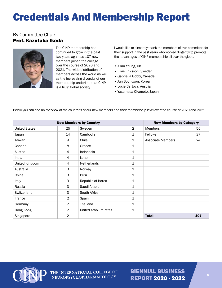# <span id="page-7-0"></span>Credentials And Membership Report

## By Committee Chair Prof. Kazutaka Ikeda



The CINP membership has continued to grow in the past two years again as 107 new members joined the college over the course of 2020 and 2021. The wide distribution of members across the world as well as the increasing diversity of our membership underline that CINP is a truly global society.

I would like to sincerely thank the members of this committee for their support in the past years who worked diligently to promote the advantages of CINP membership all over the globe.

- Allan Young, UK
- Elias Eriksson, Sweden
- Gabriella Gobbi, Canada
- Jun Soo Kwon, Korea
- Lucie Bartova, Austria
- Yasumasa Okamoto, Japan

| Below you can find an overview of the countries of our new members and their membership level over the course of 2020 and 2021. |  |
|---------------------------------------------------------------------------------------------------------------------------------|--|
|                                                                                                                                 |  |

| <b>New Members by Country</b> |                |                             | <b>New Members by Category</b> |                          |     |
|-------------------------------|----------------|-----------------------------|--------------------------------|--------------------------|-----|
| <b>United States</b>          | 25             | Sweden                      | $\overline{2}$                 | <b>Members</b>           | 56  |
| Japan                         | 14             | Cambodia                    | 1                              | Fellows                  | 27  |
| Taiwan                        | 9              | Chile                       | 1                              | <b>Associate Members</b> | 24  |
| Canada                        | 8              | Greece                      | 1                              |                          |     |
| Austria                       | 4              | Indonesia                   | 1                              |                          |     |
| India                         | 4              | <b>Israel</b>               | 1                              |                          |     |
| United Kingdom                | 4              | Netherlands                 | 1                              |                          |     |
| Australia                     | 3              | Norway                      | 1                              |                          |     |
| China                         | 3              | Peru                        | 1                              |                          |     |
| Italy                         | 3              | Republic of Korea           | 1                              |                          |     |
| Russia                        | 3              | Saudi Arabia                | 1                              |                          |     |
| Switzerland                   | 3              | South Africa                | 1                              |                          |     |
| France                        | $\overline{2}$ | Spain                       | 1                              |                          |     |
| Germany                       | $\overline{2}$ | Thailand                    | 1                              |                          |     |
| Hong Kong                     | $\overline{2}$ | <b>United Arab Emirates</b> | 1                              |                          |     |
| Singapore                     | $\overline{2}$ |                             |                                | <b>Total</b>             | 107 |



THE INTERNATIONAL COLLEGE OF **NEUROPSYCHOPHARMACOLOGY**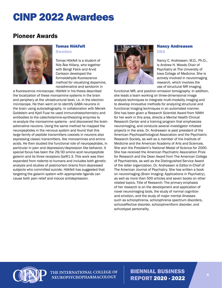## <span id="page-8-0"></span>Pioneer Awards



## Tomas Hökfelt **Sweden**

Tomas Hökfelt is a student of Nils Åke Hillarp, who together with Bengt Falck and Arvid Carlsson developed the formaldehyde fluorescence method for visualizing dopamine, noradrenaline and serotonin in

a fluorescence microscope. Hökfelt in his thesis described the localization of these monoamine systems in the brain and periphery at the ultrastructural level, i.e. in the electron microscope. He then went on to identify GABA neurons in the brain using autoradiography. In collaboration with Menek Goldstein and Kjell Fuxe he used immunohistochemistry and antibodies to the catecholamine-synthesizing enzymes to re-analyze the monoamine systems - and discovered the brain adrenaline neurons. Using the same method he mapped the neuropeptides in the nervous system and found that this large family of peptide transmitters coexists in neurons also expressing classic transmitters, like monoamines and amino acids. He then studied the functional role of neuropeptides, in particular in pain and depression/depression like behavior. A special focus has been the 29/30 amino acid neuropeptide galanin and its three receptors GalR1-3. This work was then expanded from rodents to humans and includes both genetic analysis and studies of postmortem brains from depressed subjects who committed suicide. Hökfelt has suggested that targeting the galanin system with appropriate ligands can cause both pain relief and induce antidepression.



#### Nancy Andreasen USA

Nancy C. Andreasen, M.D., Ph.D., is Andrew H. Woods Chair of Psychiatry at The University of Iowa College of Medicine. She is actively involved in neuroimaging research, which involves the use of structural MR imaging,

functional MR, and positron emission tomography. In addition, she leads a team working on three-dimensional image analysis techniques to integrate multi-modality imaging and to develop innovative methods for analyzing structural and functional imaging techniques in an automated manner. She has been given a Research Scientist Award from NIMH for her work in this area, directs a Mental Health Clinical Research Center and a training program that emphasizes neuroimaging, and conducts several investigator initiated projects in the area. Dr. Andreasen is past president of the American Psychopathological Association and the Psychiatric Research Society, as well as a member of the Institute of Medicine and the American Academy of Arts and Sciences. She won the President's National Medal of Science for 2000. She has received the American Psychiatric Association Prize for Research and the Dean Award from The American College of Psychiatrists, as well as the Distinguished Service Award of the latter organization. Dr. Andreasen is Editor-in-Chief of The American Journal of Psychiatry. She has written a book on neuroimaging (Brain Imaging: Applications in Psychiatry), as well as more than 500 articles and seven books on other related topics. Title of Research: The primary emphasis of her research is on the development and application of novel neuroimaging tools, the study of normal cognition and emotion, and the study of major mental illnesses such as schizophrenia, schizophrenia spectrum disorders, schizoaffective disorder, schizophreniform disorder, and schizotypal personality.



THE INTERNATIONAL COLLEGE OF NEUROPSYCHOPHARMACOLOGY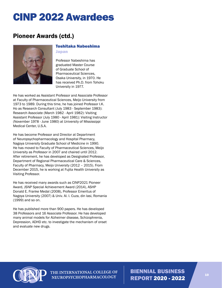# Pioneer Awards (ctd.)



#### Toshitaka Nabeshima Japan

Professor Nabeshima has graduated Master Course of Graduate School of Pharmaceutical Sciences, Osaka University, in 1970. He has received Ph.D. from Tohoku University in 1977.

He has worked as Assistant Professor and Associate Professor at Faculty of Pharmaceutical Sciences, Meijo University from 1973 to 1989. During this time, he has joined Professor I.K. Ho as Research Consultant (July 1983 - September 1983): Research Associate (March 1982 - April 1982): Visiting Assistant Professor (July 1980 - April 1981): Visiting Instructor (November 1978 - June 1980) at University of Mississippi Medical Center, U.S.A.

He has become Professor and Director at Department of Neuropsychopharmacology and Hospital Pharmacy, Nagoya University Graduate School of Medicine in 1990. He has moved to Faculty of Pharmaceutical Sciences, Meijo University as Professor in 2007 and chaired until 2012. After retirement, he has developed as Designated Professor, Department of Regional Pharmaceutical Care & Sciences, Faculty of Pharmacy, Meijo University (2012 – 2015). From December 2015, he is working at Fujita Health University as Visiting Professor.

He has received many awards such as CINP2021 Pioneer Award, JSNP Special Achievement Award (2014), ASHP Donald E. Franke Medal (2008), Professor Emeritus of Nagoya University (2007) & Univ. Al. I. Cuza, din lasi, Romania (1999) and so on.

He has published more than 900 papers. He has developed 38 Professors and 16 Associate Professor. He has developed many animal models for Alzheimer disease, Schizophrenia, Depression, ADHD etc. to investigate the mechanism of onset and evaluate new drugs.



THE INTERNATIONAL COLLEGE OF NEUROPSYCHOPHARMACOLOGY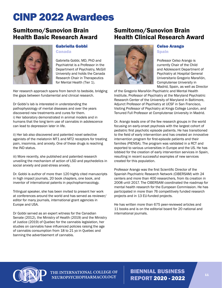## <span id="page-10-0"></span>Sumitomo/Sunovion Brain Health Basic Research Award



#### Gabriella Gobbi Canada

Gabriella Gobbi, MD, PhD and Psychiatrist is a Professor in the Department of Psychiatry, McGill University and holds the Canada Research Chair in Therapeutics for Mental Health (Tier 1).

Her research approach spans from bench to bedside, bridging the gaps between fundamental and clinical research.

Dr Gobbi's lab is interested in understanding the pathophysiology of mental diseases and over the years discovered new treatments and cures for them. i) Her laboratory demonstrated in animal models and in humans that the long term use of cannabis in adolescence can lead to depression later in life.

ii) Her lab also discovered and patented novel selective agonists of the melatonin MT1 and MT2 receptors for treating pain, insomnia, and anxiety. One of these drugs is reaching the IND status.

iii) More recently, she published and patented research unveiling the mechanism of action of LSD and psychedelics in social anxiety and post-stress anxiety.

Dr. Gobbi is author of more than 120 highly cited manuscripts in high impact journals, 20 book chapters, one book, and inventor of international patents in psychopharmacology.

Trilingual speaker, she has been invited to present her work at conferences around the world and has served as reviewer/ editor for many journals, international grant agencies in Europe and USA.

Dr Gobbi served as an expert witness for the Canadian Senate (2012), the Ministry of Health (2019) and the Ministry of Justice (2019) of Quebec for the cannabis legislation, her studies on cannabis have influenced policies raising the age of cannabis consumption from 18 to 21 yo in Quebec and banning the advertisement of cannabis.

## Sumitomo/Sunovion Brain Health Clinical Research Award



#### Celso Arango **Spain**

Professor Celso Arango is currently Chair of the Child and Adolescent Department of Psychiatry at Hospital General Universitario Gregorio Marañón, Complutense University in Madrid, Spain, as well as Director

of the Gregorio Marañón Psychiatric and Mental Health Institute, Professor of Psychiatry at the Maryland Psychiatric Research Center of the University of Maryland in Baltimore, Adjunct Professor of Psychiatry at UCSF in San Francisco, Visiting Professor of Psychiatry at Kings College London, and Tenured Full Professor at Complutense University in Madrid.

Dr. Arango leads one of the few research groups in the world focusing on early-onset psychosis with the largest cohort of pediatric first psychotic episode patients. He has transitioned to the field of early intervention and has created an innovative intervention program for first-episode patients and their families (PIENSA). The program was validated in a RCT and exported to various universities in Europe and the US. He has lobbied for the creation of early intervention services in Spain, resulting in recent successful examples of new services created for this population.

Professor Arango was the first Scientific Director of the Spanish Psychiatric Research Network (CIBERSAM) with 24 centers and more than 400 researchers, from its creation in 2008 until 2017. The CIBERSAM coordinated the roadmap for mental health research for the European Commission. He has participated in more than 76 competitively funded research projects and in 13 EU-funded projects.

He has written more than 675 peer-reviewed articles and 11 books and is on the editorial board for 20 national and international journals.



THE INTERNATIONAL COLLEGE OF NEUROPSYCHOPHARMACOLOGY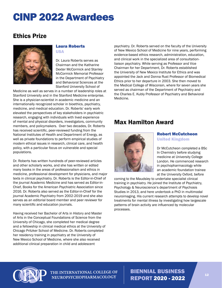# <span id="page-11-0"></span>Ethics Prize



#### Laura Roberts USA

Dr. Laura Roberts serves as Chairman and the Katharine Dexter McCormick and Stanley McCormick Memorial Professor in the Department of Psychiatry and Behavioral Sciences at the Stanford University School of

Medicine as well as serves in a number of leadership roles at Stanford University and in the Stanford Medicine enterprise. She is a physician-scientist in academic medicine and an internationally recognized scholar in bioethics, psychiatry, medicine, and medical education. Dr. Roberts' early work elevated the perspectives of key stakeholders in psychiatric research, engaging with individuals with lived experience of mental and physical disorders, investigators, community members, and policymakers. Over two decades, Dr. Roberts has received scientific, peer-reviewed funding from the National Institutes of Health and Department of Energy, as well as private foundations to perform empirical studies of modern ethical issues in research, clinical care, and health policy, with a particular focus on vulnerable and special populations.

Dr. Roberts has written hundreds of peer-reviewed articles and other scholarly works, and she has written or edited many books in the areas of professionalism and ethics in medicine, professional development for physicians, and major texts in clinical psychiatry. Dr. Roberts is the Editor-in-Chief of the journal Academic Medicine and has served as Editor-in-Chief, Books for the American Psychiatric Association since 2016. Dr. Roberts also served as the Editor-in-Chief for the journal Academic Psychiatry from 2002-2019 and she also serves as an editorial board member and peer reviewer for many scientific and education journals.

Having received her Bachelor of Arts in History and Master of Arts in the Conceptual Foundations of Science from the University of Chicago, she completed her medical degree and a fellowship in clinical medical ethics at the University of Chicago Pritzker School of Medicine. Dr. Roberts completed her residency training in psychiatry at the University of New Mexico School of Medicine, where she also received additional clinical preparation in child and adolescent

psychiatry. Dr. Roberts served on the faculty of the University of New Mexico School of Medicine for nine years, performing evidence-based ethics research, administration, education, and clinical work in the specialized area of consultationliaison psychiatry. While serving as Professor and Vice Chairman for her Department, Dr. Roberts established the University of New Mexico Institute for Ethics and was appointed the Jack and Donna Rust Professor of Biomedical Ethics prior to her departure in 2003. She then moved to the Medical College of Wisconsin, where for seven years she served as chairman of the Department of Psychiatry and the Charles E. Kubly Professor of Psychiatry and Behavioral Medicine.

# Max Hamilton Award



## Robert McCutcheon United Kingdom

Dr McCutcheon completed a BSc In Chemistry before studying medicine at University College London. He commenced research in psychopharmacology while an academic foundation trainee at the University Oxford, before

coming to the Maudsley to undertake specialist clinical training in psychiatry. He joined the Institute of Psychiatry, Psychology & Neuroscience's department of Psychosis Studies in 2013, and here undertook a PhD in multimodal neuroimaging. His current research attempts to develop novel treatments for mental illness by investigating how largescale patterns of brain activity are influenced by molecular processes.



THE INTERNATIONAL COLLEGE OF **NEUROPSYCHOPHARMACOLOGY**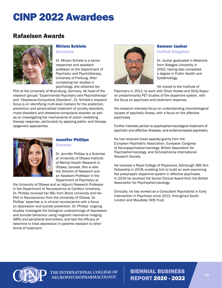# <span id="page-12-0"></span>Rafaelsen Awards



## Miriam Schiele

**Germany** 

Dr. Miriam Schiele is a senior researcher and assistant professor at the Department of Psychiatry and Psychotherapy, University of Freiburg. After completing her studies in psychology, she obtained her

PhD at the University of Wuerzburg, Germany. As head of the research groups "Experimental Psychiatry and Psychotherapy" and "Obsessive-Compulsive Disorders", Dr. Schiele's research focus is on identifying multi-level markers for the prediction, prevention and personalized treatment of anxiety disorders, mood disorders and obsessive-compulsive disorder as well as on investigating the mechanisms of action mediating therapy response, particularly by applying patho- and therapyepigenetic approaches.



# Jennifer Phillips

Canada

Dr. Jennifer Phillips is a Scientist at University of Ottawa Institute of Mental Health Research in Ottawa, Canada. She is also the Director of Research and an Assistant Professor in the Department of Psychiatry at

the University of Ottawa and an Adjunct Research Professor in the Department of Neuroscience at Carleton University. Dr. Phillips received her BSc from Brock University and her PhD in Neuroscience from the University of Ottawa. Dr. Phillips' expertise is in clinical neuroscience with a focus on depression and suicide prevention. Dr. Phillips' ongoing studies investigate the biological underpinnings of depression and suicidal behaviour using magnetic resonance imaging (MRI) and peripheral biomarkers, and test the efficacy of ketamine to treat depression in patients resistant to other forms of treatment.



## Sameer Jauhar

United Kingdom

Dr. Jauhar graduated in Medicine from Glasgow University in 2002, having also completed a degree in Public Health and Epidemiology.

He moved to the Institute of

Psychiatry in 2012, to work with Oliver Howes and Shitij Kapur on predominantly PET studies of the dopamine system, with the focus on psychosis and treatment response.

His research interests focus on understanding neurobiological causes of psychotic illness, with a focus on the affective psychoses.

Further interests pertain to psychopharmacological treatment of psychotic and affective illnesses, and evidence-based psychiatry.

He has received travel awards/grants from the European Psychiatric Association, European Congress of Neuropsychopharmacology, British Association for Psychopharmacology, and Schizophrenia International Research Society.

He received a Royal College of Physicians, Edinburgh JMS Sim Fellowship in 2018, enabling him to build on work examining the presynaptic dopamine system in affective psychoses. In 2019 he received the Senior Clinical Award from the British Associaiton for Psychopharmacology.

Clinically, he has worked as a Consultant Psychiatrist in Early Intervention in Psychosis since 2012, throughout South London and Maudsley NHS Trust.



THE INTERNATIONAL COLLEGE OF NEUROPSYCHOPHARMACOLOGY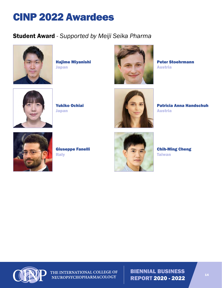# <span id="page-13-0"></span>Student Award *- Supported by Meiji Seika Pharma*



Hajime Miyanishi Japan



Peter Stoehrmann Austria



Yukiko Ochiai Japan



Patricia Anna Handschuh Austria



Giuseppe Fanelli Italy



Chih-Ming Cheng **Taiwan** 



THE INTERNATIONAL COLLEGE OF NEUROPSYCHOPHARMACOLOGY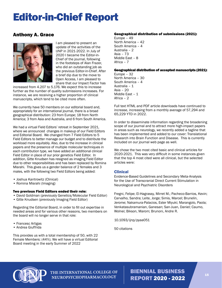# <span id="page-14-0"></span>Editor-in-Chief Report

## Anthony A. Grace



I am pleased to present an update of the activities of the IJNP in 2021-2022. In July of 2020 I became the Editor-in-Chief of the journal, following in the footsteps of Alan Frazer, who did an outstanding job as the previous Editor-in-Chief. After a brief dip due to the move to Open Access, I am pleased to share that our Impact Factor has

increased from 4.207 to 5.176. We expect this to increase further as the number of quality submissions increases. For instance, we are receiving a higher proportion of clinical manuscripts, which tend to be cited more often.

We currently have 50 members on our editorial board and, appropriately for an international journal, there is a broad geographical distribution: 23 from Europe; 18 from North America; 3 from Asia and Australia, and 6 from South America.

We had a virtual Field Editors' retreat in September 2021, where we announced changes in makeup of our Field Editors and Editorial Board. We changed from 7 Field Editors to 5 Field Editors to better manage our budget and to distribute the workload more equitably. Also, due to the increase in clinical papers and the presence of multiple molecular techniques in each contribution type, we have added an additional clinical Field Editor in place of our prior genetics Field Editor. In addition, Gitte Knudsen has resigned as imaging Field Editor due to other responsibilities and has been replaced by Romina Misrahi. This gives us a gender balance of 2 females and 3 males, with the following two Field Editors being added:

- Joshua Kantrowitz (Clinical)
- Romina Misrahi (Imaging)

#### Two previous Field Editors ended their role:

- David Goldman (previously Genetics/Molecular Field Editor)
- Gitte Knudsen (previously Imaging Field Editor)

Regarding the Editorial Board, in order to fill out expertise in needed areas and for various other reasons, two members on the board will no longer serve in that role:

- Francesc Artigas
- Andrea Giuffrida

This provides us with a total membership of 50, with 22 Female Members: (44%). We will have a virtual Editorial Board meeting in the early Summer of 2022

#### Geographical distribution of submissions (2021):

Europe – 49 North America – 42 South America – 4 Australia – 2 Asia – 73 Middle East – 8 Africa – 7

#### Geographical distribution of accepted manuscripts (2021):

Europe – 32 North America – 30 South America – 4 Australia – 1 Asia – 20 Middle East - 1 Africa – 2

Full text HTML and PDF article downloads have continued to increase, increasing from a monthly average of 57,294 and 65,229 YTD in 2022.

In order to disseminate information regarding the broadening scope of our journal and to attract more high-impact papers in areas such as neurology, we recently added a tagline that has been implemented and added to our cover: Translational Research into Brain Function and Disease. This is currently included on our journal web page as well.

We chose the two most cited basic and clinical articles for 2020-2021. This was very difficult in some instances given that the top 4 most cited were all clinical, but the selected articles were:

## Clinical

Evidence-Based Guidelines and Secondary Meta-Analysis for the Use of Transcranial Direct Current Stimulation in Neurological and Psychiatric Disorders

Fregni, Felipe; El-Hagrassy, Mirret M.; Pacheco-Barrios, Kevin; Carvalho, Sandra; Leite, Jorge; Simis, Marcel; Brunelin, Jerome; Nakamura-Palacios, Ester Miyuki; Marangolo, Paola; Venkatasubramanian, Ganesan; San-Juan, Daniel; Caumo, Wolnei; Bikson, Marom; Brunoni, Andre R.

10.1093/ijnp/pyaa051

50 citations



THE INTERNATIONAL COLLEGE OF NEUROPSYCHOPHARMACOLOGY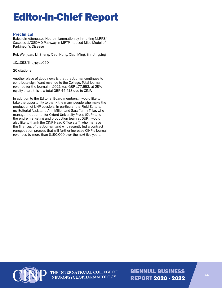# Editor-in-Chief Report

## **Preclinical**

Baicalein Attenuates Neuroinflammation by Inhibiting NLRP3/ Caspase-1/GSDMD Pathway in MPTP-Induced Mice Model of Parkinson's Disease

Rui, Wenjuan; Li, Sheng; Xiao, Hong; Xiao, Ming; Shi, Jingping

10.1093/ijnp/pyaa060

20 citations

Another piece of good news is that the Journal continues to contribute significant revenue to the College. Total journal revenue for the journal in 2021 was GBP 177,653; at 25% royalty share this is a total GBP 44,413 due to CINP.

In addition to the Editorial Board members, I would like to take the opportunity to thank the many people who make the production of IJNP possible, in particular the Field Editors, my Editorial Assistant, Ann Miller, and Sara Yanny-Tillar, who manage the Journal for Oxford University Press (OUP), and the entire marketing and production team at OUP. I would also like to thank the CINP Head Office staff, who manage the finances of the Journal, and who recently led a contract renegotiation process that will further increase CINP's journal revenues by more than \$150,000 over the next five years.



THE INTERNATIONAL COLLEGE OF NEUROPSYCHOPHARMACOLOGY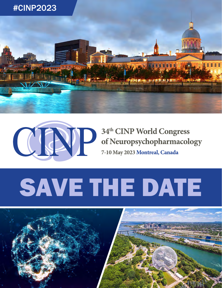



# 34th CINP World Congress of Neuropsychopharmacology

7-10 May 2023 Montreal, Canada

# SAVE THE DATE